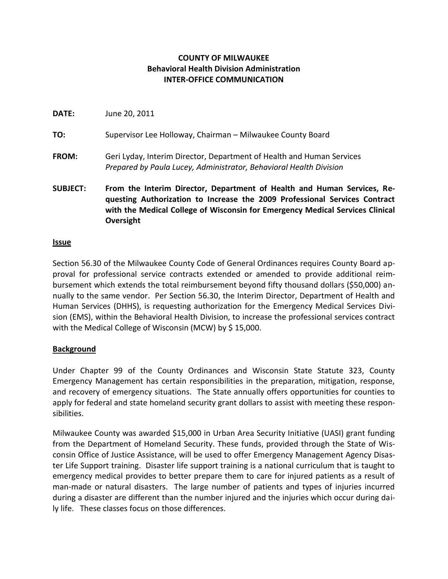## **COUNTY OF MILWAUKEE Behavioral Health Division Administration INTER-OFFICE COMMUNICATION**

| <b>SUBJECT:</b> | From the Interim Director, Department of Health and Human Services, Re-<br>questing Authorization to Increase the 2009 Professional Services Contract |
|-----------------|-------------------------------------------------------------------------------------------------------------------------------------------------------|
| <b>FROM:</b>    | Geri Lyday, Interim Director, Department of Health and Human Services<br>Prepared by Paula Lucey, Administrator, Behavioral Health Division           |
| TO:             | Supervisor Lee Holloway, Chairman - Milwaukee County Board                                                                                            |
| <b>DATE:</b>    | June 20, 2011                                                                                                                                         |

# **questing Authorization to Increase the 2009 Professional Services Contract with the Medical College of Wisconsin for Emergency Medical Services Clinical Oversight**

#### **Issue**

Section 56.30 of the Milwaukee County Code of General Ordinances requires County Board approval for professional service contracts extended or amended to provide additional reimbursement which extends the total reimbursement beyond fifty thousand dollars (\$50,000) annually to the same vendor. Per Section 56.30, the Interim Director, Department of Health and Human Services (DHHS), is requesting authorization for the Emergency Medical Services Division (EMS), within the Behavioral Health Division, to increase the professional services contract with the Medical College of Wisconsin (MCW) by \$15,000.

### **Background**

Under Chapter 99 of the County Ordinances and Wisconsin State Statute 323, County Emergency Management has certain responsibilities in the preparation, mitigation, response, and recovery of emergency situations. The State annually offers opportunities for counties to apply for federal and state homeland security grant dollars to assist with meeting these responsibilities.

Milwaukee County was awarded \$15,000 in Urban Area Security Initiative (UASI) grant funding from the Department of Homeland Security. These funds, provided through the State of Wisconsin Office of Justice Assistance, will be used to offer Emergency Management Agency Disaster Life Support training. Disaster life support training is a national curriculum that is taught to emergency medical provides to better prepare them to care for injured patients as a result of man-made or natural disasters. The large number of patients and types of injuries incurred during a disaster are different than the number injured and the injuries which occur during daily life. These classes focus on those differences.